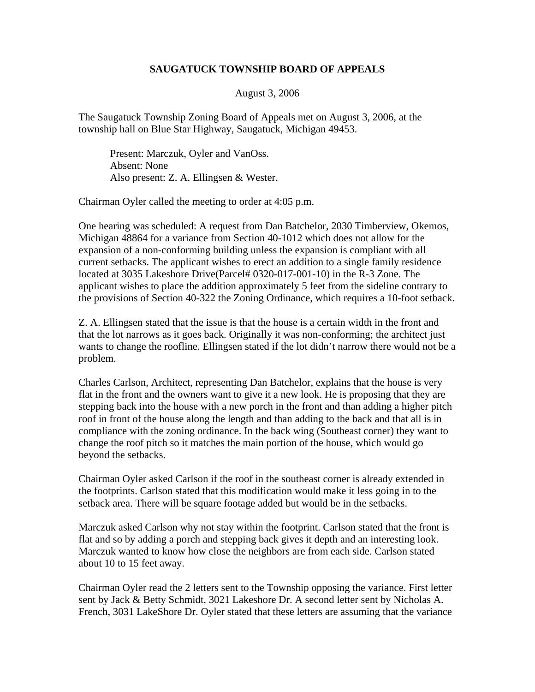## **SAUGATUCK TOWNSHIP BOARD OF APPEALS**

## August 3, 2006

The Saugatuck Township Zoning Board of Appeals met on August 3, 2006, at the township hall on Blue Star Highway, Saugatuck, Michigan 49453.

 Present: Marczuk, Oyler and VanOss. Absent: None Also present: Z. A. Ellingsen & Wester.

Chairman Oyler called the meeting to order at 4:05 p.m.

One hearing was scheduled: A request from Dan Batchelor, 2030 Timberview, Okemos, Michigan 48864 for a variance from Section 40-1012 which does not allow for the expansion of a non-conforming building unless the expansion is compliant with all current setbacks. The applicant wishes to erect an addition to a single family residence located at 3035 Lakeshore Drive(Parcel# 0320-017-001-10) in the R-3 Zone. The applicant wishes to place the addition approximately 5 feet from the sideline contrary to the provisions of Section 40-322 the Zoning Ordinance, which requires a 10-foot setback.

Z. A. Ellingsen stated that the issue is that the house is a certain width in the front and that the lot narrows as it goes back. Originally it was non-conforming; the architect just wants to change the roofline. Ellingsen stated if the lot didn't narrow there would not be a problem.

Charles Carlson, Architect, representing Dan Batchelor, explains that the house is very flat in the front and the owners want to give it a new look. He is proposing that they are stepping back into the house with a new porch in the front and than adding a higher pitch roof in front of the house along the length and than adding to the back and that all is in compliance with the zoning ordinance. In the back wing (Southeast corner) they want to change the roof pitch so it matches the main portion of the house, which would go beyond the setbacks.

Chairman Oyler asked Carlson if the roof in the southeast corner is already extended in the footprints. Carlson stated that this modification would make it less going in to the setback area. There will be square footage added but would be in the setbacks.

Marczuk asked Carlson why not stay within the footprint. Carlson stated that the front is flat and so by adding a porch and stepping back gives it depth and an interesting look. Marczuk wanted to know how close the neighbors are from each side. Carlson stated about 10 to 15 feet away.

Chairman Oyler read the 2 letters sent to the Township opposing the variance. First letter sent by Jack & Betty Schmidt, 3021 Lakeshore Dr. A second letter sent by Nicholas A. French, 3031 LakeShore Dr. Oyler stated that these letters are assuming that the variance